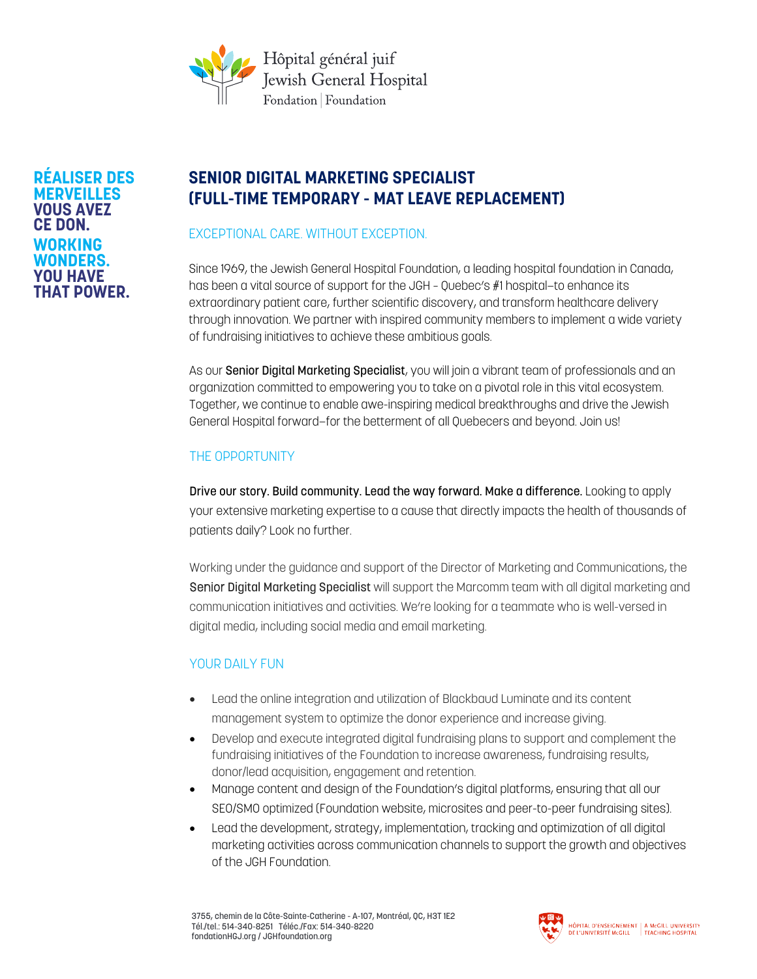

#### **RÉALISER DES MERVEILLES VOUS AVEZ CE DON. WORKING WONDERS. YOU HAVE THAT POWER.**

# **SENIOR DIGITAL MARKETING SPECIALIST (FULL-TIME TEMPORARY - MAT LEAVE REPLACEMENT)**

EXCEPTIONAL CARE. WITHOUT EXCEPTION.

Since 1969, the Jewish General Hospital Foundation, a leading hospital foundation in Canada, has been a vital source of support for the JGH – Quebec's #1 hospital—to enhance its extraordinary patient care, further scientific discovery, and transform healthcare delivery through innovation. We partner with inspired community members to implement a wide variety of fundraising initiatives to achieve these ambitious goals.

As our Senior Digital Marketing Specialist, you will join a vibrant team of professionals and an organization committed to empowering you to take on a pivotal role in this vital ecosystem. Together, we continue to enable awe-inspiring medical breakthroughs and drive the Jewish General Hospital forward—for the betterment of all Quebecers and beyond. Join us!

# THE OPPORTUNITY

Drive our story. Build community. Lead the way forward. Make a difference. Looking to apply your extensive marketing expertise to a cause that directly impacts the health of thousands of patients daily? Look no further.

Working under the guidance and support of the Director of Marketing and Communications, the Senior Digital Marketing Specialist will support the Marcomm team with all digital marketing and communication initiatives and activities. We're looking for a teammate who is well-versed in digital media, including social media and email marketing.

# YOUR DAILY FUN

- Lead the online integration and utilization of Blackbaud Luminate and its content management system to optimize the donor experience and increase giving.
- Develop and execute integrated digital fundraising plans to support and complement the fundraising initiatives of the Foundation to increase awareness, fundraising results, donor/lead acquisition, engagement and retention.
- Manage content and design of the Foundation's digital platforms, ensuring that all our SEO/SMO optimized (Foundation website, microsites and peer-to-peer fundraising sites).
- Lead the development, strategy, implementation, tracking and optimization of all digital marketing activities across communication channels to support the growth and objectives of the JGH Foundation.

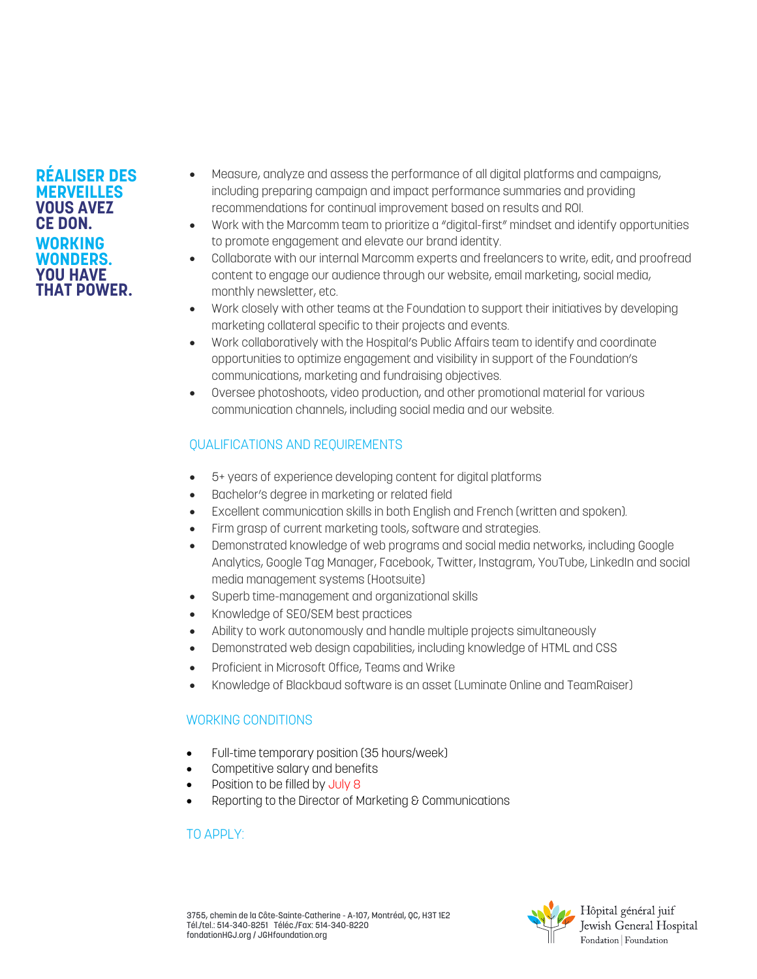#### **RÉALISER DES MERVEILLES VOUS AVEZ CE DON. WORKING WONDERS. YOU HAVE THAT POWER.**

- Measure, analyze and assess the performance of all digital platforms and campaigns, including preparing campaign and impact performance summaries and providing recommendations for continual improvement based on results and ROI.
- Work with the Marcomm team to prioritize a "digital-first" mindset and identify opportunities to promote engagement and elevate our brand identity.
- Collaborate with our internal Marcomm experts and freelancers to write, edit, and proofread content to engage our audience through our website, email marketing, social media, monthly newsletter, etc.
- Work closely with other teams at the Foundation to support their initiatives by developing marketing collateral specific to their projects and events.
- Work collaboratively with the Hospital's Public Affairs team to identify and coordinate opportunities to optimize engagement and visibility in support of the Foundation's communications, marketing and fundraising objectives.
- Oversee photoshoots, video production, and other promotional material for various communication channels, including social media and our website.

### QUALIFICATIONS AND REQUIREMENTS

- 5+ years of experience developing content for digital platforms
- Bachelor's degree in marketing or related field
- Excellent communication skills in both English and French (written and spoken).
- Firm grasp of current marketing tools, software and strategies.
- Demonstrated knowledge of web programs and social media networks, including Google Analytics, Google Tag Manager, Facebook, Twitter, Instagram, YouTube, LinkedIn and social media management systems (Hootsuite)
- Superb time-management and organizational skills
- Knowledge of SEO/SEM best practices
- Ability to work autonomously and handle multiple projects simultaneously
- Demonstrated web design capabilities, including knowledge of HTML and CSS
- Proficient in Microsoft Office, Teams and Wrike
- Knowledge of Blackbaud software is an asset (Luminate Online and TeamRaiser)

# WORKING CONDITIONS

- Full-time temporary position (35 hours/week)
- Competitive salary and benefits
- Position to be filled by July 8
- Reporting to the Director of Marketing & Communications

### TO APPLY: